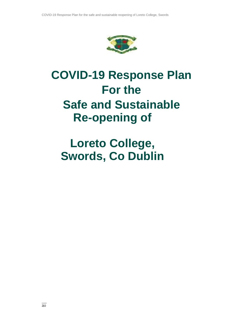

# **COVID-19 Response Plan For the Safe and Sustainable Re-opening of**

# **Loreto College, Swords, Co Dublin**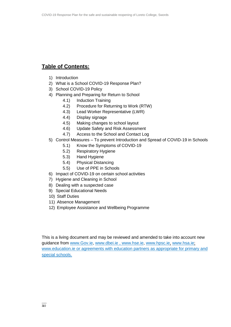# **Table of Contents:**

- 1) Introduction
- 2) What is a School COVID-19 Response Plan?
- 3) School COVID-19 Policy
- 4) Planning and Preparing for Return to School
	- 4.1) Induction Training
	- 4.2) Procedure for Returning to Work (RTW)
	- 4.3) Lead Worker Representative (LWR)
	- 4.4) Display signage
	- 4.5) Making changes to school layout
	- 4.6) Update Safety and Risk Assessment
	- 4.7) Access to the School and Contact Log
- 5) Control Measures To prevent Introduction and Spread of COVID-19 in Schools
	- 5.1) Know the Symptoms of COVID-19
	- 5.2) Respiratory Hygiene
	- 5.3) Hand Hygiene
	- 5.4) Physical Distancing
	- 5.5) Use of PPE in Schools
- 6) Impact of COVID-19 on certain school activities
- 7) Hygiene and Cleaning in School
- 8) Dealing with a suspected case
- 9) Special Educational Needs
- 10) Staff Duties
- 11) Absence Management
- 12) Employee Assistance and Wellbeing Programme

This is a living document and may be reviewed and amended to take into account new guidance from [www.Gov.ie,](http://www.gov.ie/) [www.dbei.ie ,](http://www.dbei.ie/) [www.hse.ie,](http://www.hse.ie/) [www.hpsc.ie,](http://www.hpsc.ie/) [www.hsa.ie;](http://www.hsa.ie/) [www.education.ie o](http://www.education.ie/)r agreements with education partners as appropriate for primary and special schools.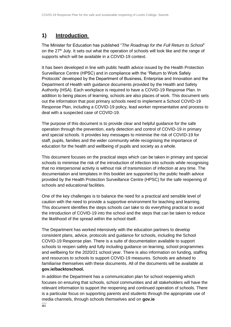# **1) Introduction**

The Minister for Education has published "*The Roadmap for the Full Return to School*" on the  $27<sup>th</sup>$  July. It sets out what the operation of schools will look like and the range of supports which will be available in a COVID-19 context.

It has been developed in line with public health advice issued by the Health Protection Surveillance Centre (HPSC) and in compliance with the "Return to Work Safely Protocols" developed by the Department of Business, Enterprise and Innovation and the Department of Health with guidance documents provided by the Health and Safety Authority (HSA). Each workplace is required to have a COVID-19 Response Plan. In addition to being places of learning, schools are also places of work. This document sets out the information that post primary schools need to implement a School COVID-19 Response Plan, including a COVID-19 policy, lead worker representative and process to deal with a suspected case of COVID-19.

The purpose of this document is to provide clear and helpful guidance for the safe operation through the prevention, early detection and control of COVID-19 in primary and special schools. It provides key messages to minimise the risk of COVID-19 for staff, pupils, families and the wider community while recognising the importance of education for the health and wellbeing of pupils and society as a whole.

This document focuses on the practical steps which can be taken in primary and special schools to minimise the risk of the introduction of infection into schools while recognising that no interpersonal activity is without risk of transmission of infection at any time. The documentation and templates in this booklet are supported by the public health advice provided by the Health Protection Surveillance Centre (HPSC) for the safe reopening of schools and educational facilities.

One of the key challenges is to balance the need for a practical and sensible level of caution with the need to provide a supportive environment for teaching and learning. This document identifies the steps schools can take to do everything practical to avoid the introduction of COVID-19 into the school and the steps that can be taken to reduce the likelihood of the spread within the school itself.

The Department has worked intensively with the education partners to develop consistent plans, advice, protocols and guidance for schools, including the School COVID-19 Response plan. There is a suite of documentation available to support schools to reopen safely and fully including guidance on learning, school programmes and wellbeing for the 2020/21 school year. There is also information on funding, staffing and resources to schools to support COVID-19 measures. Schools are advised to familiarise themselves with these documents. All of the documents will be available at **gov.ie/backtoschool.** 

In addition the Department has a communication plan for school reopening which focuses on ensuring that schools, school communities and all stakeholders will have the relevant information to support the reopening and continued operation of schools. There is a particular focus on supporting parents and students through the appropriate use of media channels, through schools themselves and on **gov.ie**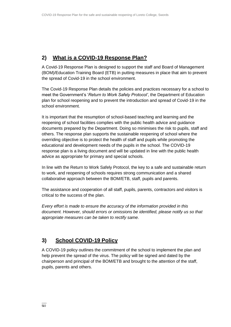# **2) What is a COVID-19 Response Plan?**

A Covid-19 Response Plan is designed to support the staff and Board of Management (BOM)/Education Training Board (ETB) in putting measures in place that aim to prevent the spread of Covid-19 in the school environment.

The Covid-19 Response Plan details the policies and practices necessary for a school to meet the Government's '*Return to Work Safely Protocol'*, the Department of Education plan for school reopening and to prevent the introduction and spread of Covid-19 in the school environment.

It is important that the resumption of school-based teaching and learning and the reopening of school facilities complies with the public health advice and guidance documents prepared by the Department. Doing so minimises the risk to pupils, staff and others. The response plan supports the sustainable reopening of school where the overriding objective is to protect the health of staff and pupils while promoting the educational and development needs of the pupils in the school. The COVID-19 response plan is a living document and will be updated in line with the public health advice as appropriate for primary and special schools.

In line with the Return to Work Safely Protocol, the key to a safe and sustainable return to work, and reopening of schools requires strong communication and a shared collaborative approach between the BOM/ETB, staff, pupils and parents.

The assistance and cooperation of all staff, pupils, parents, contractors and visitors is critical to the success of the plan.

*Every effort is made to ensure the accuracy of the information provided in this document. However, should errors or omissions be identified, please notify us so that appropriate measures can be taken to rectify same.*

# **3) School COVID-19 Policy**

A COVID-19 policy outlines the commitment of the school to implement the plan and help prevent the spread of the virus. The policy will be signed and dated by the chairperson and principal of the BOM/ETB and brought to the attention of the staff, pupils, parents and others.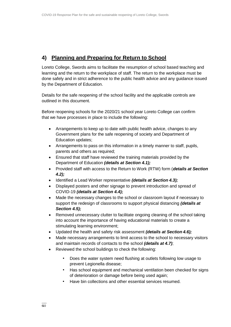# **4) Planning and Preparing for Return to School**

Loreto College, Swords aims to facilitate the resumption of school based teaching and learning and the return to the workplace of staff. The return to the workplace must be done safely and in strict adherence to the public health advice and any guidance issued by the Department of Education.

Details for the safe reopening of the school facility and the applicable controls are outlined in this document.

Before reopening schools for the 2020/21 school year Loreto College can confirm that we have processes in place to include the following:

- Arrangements to keep up to date with public health advice, changes to any Government plans for the safe reopening of society and Department of Education updates;
- Arrangements to pass on this information in a timely manner to staff, pupils, parents and others as required;
- Ensured that staff have reviewed the training materials provided by the Department of Education *(details at Section 4.1);*
- Provided staff with access to the Return to Work (RTW) form (*details at Section 4.2);*
- Identified a Lead Worker representative *(details at Section 4.3);*
- Displayed posters and other signage to prevent introduction and spread of COVID-19 *(details at Section 4.4);*
- Made the necessary changes to the school or classroom layout if necessary to support the redesign of classrooms to support physical distancing *(details at Section 4.5);*
- Removed unnecessary clutter to facilitate ongoing cleaning of the school taking into account the importance of having educational materials to create a stimulating learning environment;
- Updated the health and safety risk assessment *(details at Section 4.6);*
- Made necessary arrangements to limit access to the school to necessary visitors and maintain records of contacts to the school *(details at 4.7)*;
- Reviewed the school buildings to check the following:
	- Does the water system need flushing at outlets following low usage to prevent Legionella disease;
	- Has school equipment and mechanical ventilation been checked for signs of deterioration or damage before being used again;
	- Have bin collections and other essential services resumed.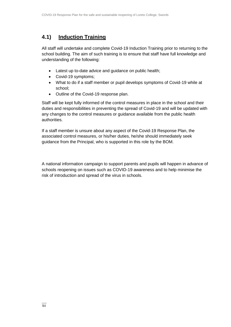## **4.1) Induction Training**

All staff will undertake and complete Covid-19 Induction Training prior to returning to the school building. The aim of such training is to ensure that staff have full knowledge and understanding of the following:

- Latest up to-date advice and guidance on public health;
- Covid-19 symptoms;
- What to do if a staff member or pupil develops symptoms of Covid-19 while at school;
- Outline of the Covid-19 response plan.

Staff will be kept fully informed of the control measures in place in the school and their duties and responsibilities in preventing the spread of Covid-19 and will be updated with any changes to the control measures or guidance available from the public health authorities.

If a staff member is unsure about any aspect of the Covid-19 Response Plan, the associated control measures, or his/her duties, he/she should immediately seek guidance from the Principal, who is supported in this role by the BOM.

A national information campaign to support parents and pupils will happen in advance of schools reopening on issues such as COVID-19 awareness and to help minimise the risk of introduction and spread of the virus in schools.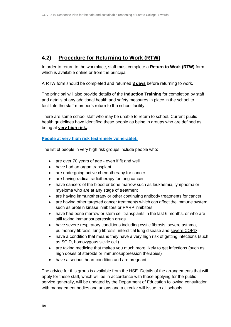# **4.2) Procedure for Returning to Work (RTW)**

In order to return to the workplace, staff must complete a **Return to Work (RTW)** form, which is available online or from the principal.

A RTW form should be completed and returned **3 days** before returning to work.

The principal will also provide details of the **Induction Training** for completion by staff and details of any additional health and safety measures in place in the school to facilitate the staff member's return to the school facility.

There are some school staff who may be unable to return to school. Current public health guidelines have identified these people as being in groups who are defined as being at **very high risk.**.

## **[People at very high risk \(extremely vulnerable\):](https://www2.hse.ie/conditions/coronavirus/people-at-higher-risk.html)**

The list of people in very high risk groups include people who:

- are over 70 years of age even if fit and well
- have had an organ transplant
- are undergoing active chemotherapy for [cancer](https://www2.hse.ie/conditions/coronavirus/cancer-patients.html)
- are having radical radiotherapy for lung cancer
- have cancers of the blood or bone marrow such as leukaemia, lymphoma or myeloma who are at any stage of treatment
- are having immunotherapy or other continuing antibody treatments for cancer
- are having other targeted cancer treatments which can affect the immune system, such as protein kinase inhibitors or PARP inhibitors
- have had bone marrow or stem cell transplants in the last 6 months, or who are still taking immunosuppression drugs
- have severe respiratory conditions including cystic fibrosis, [severe asthma,](https://www2.hse.ie/conditions/coronavirus/asthma.html) pulmonary fibrosis, lung fibrosis, interstitial lung disease and [severe](https://www2.hse.ie/conditions/coronavirus/copd.html) COPD
- have a condition that means they have a very high risk of getting infections (such as SCID, homozygous sickle cell)
- are [taking medicine that makes you much more likely to get infections](https://www2.hse.ie/conditions/coronavirus/weak-immune-system.html) (such as high doses of steroids or immunosuppression therapies)
- have a serious heart condition and are pregnant

The advice for this group is available from the HSE. Details of the arrangements that will apply for these staff, which will be in accordance with those applying for the public service generally, will be updated by the Department of Education following consultation with management bodies and unions and a circular will issue to all schools.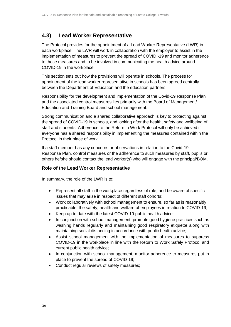## **4.3) Lead Worker Representative**

The Protocol provides for the appointment of a Lead Worker Representative (LWR) in each workplace. The LWR will work in collaboration with the employer to assist in the implementation of measures to prevent the spread of COVID -19 and monitor adherence to those measures and to be involved in communicating the health advice around COVID-19 in the workplace.

This section sets out how the provisions will operate in schools. The process for appointment of the lead worker representative in schools has been agreed centrally between the Department of Education and the education partners.

Responsibility for the development and implementation of the Covid-19 Response Plan and the associated control measures lies primarily with the Board of Management/ Education and Training Board and school management.

Strong communication and a shared collaborative approach is key to protecting against the spread of COVID-19 in schools, and looking after the health, safety and wellbeing of staff and students. Adherence to the Return to Work Protocol will only be achieved if everyone has a shared responsibility in implementing the measures contained within the Protocol in their place of work.

If a staff member has any concerns or observations in relation to the Covid-19 Response Plan, control measures or the adherence to such measures by staff, pupils or others he/she should contact the lead worker(s) who will engage with the principal/BOM.

## **Role of the Lead Worker Representative**

In summary, the role of the LWR is to:

- Represent all staff in the workplace regardless of role, and be aware of specific issues that may arise in respect of different staff cohorts;
- Work collaboratively with school management to ensure, so far as is reasonably practicable, the safety, health and welfare of employees in relation to COVID-19;
- Keep up to date with the latest COVID-19 public health advice;
- In conjunction with school management, promote good hygiene practices such as washing hands regularly and maintaining good respiratory etiquette along with maintaining social distancing in accordance with public health advice;
- Assist school management with the implementation of measures to suppress COVID-19 in the workplace in line with the Return to Work Safely Protocol and current public health advice;
- In conjunction with school management, monitor adherence to measures put in place to prevent the spread of COVID-19;
- Conduct regular reviews of safety measures;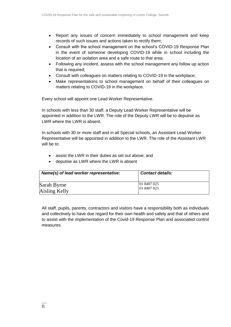- Report any issues of concern immediately to school management and keep records of such issues and actions taken to rectify them;
- Consult with the school management on the school's COVID-19 Response Plan in the event of someone developing COVID-19 while in school including the location of an isolation area and a safe route to that area;
- Following any incident, assess with the school management any follow up action that is required;
- Consult with colleagues on matters relating to COVID-19 in the workplace;
- Make representations to school management on behalf of their colleagues on matters relating to COVID-19 in the workplace.

Every school will appoint one Lead Worker Representative.

In schools with less than 30 staff, a Deputy Lead Worker Representative will be appointed in addition to the LWR. The role of the Deputy LWR will be to deputise as LWR where the LWR is absent.

In schools with 30 or more staff and in all Special schools, an Assistant Lead Worker Representative will be appointed in addition to the LWR. The role of the Assistant LWR will be to:

- assist the LWR in their duties as set out above; and
- deputise as LWR where the LWR is absent

| Name(s) of lead worker representative: | <b>Contact details:</b> |
|----------------------------------------|-------------------------|
| Sarah Byrne                            | $ 01\,8407\,025$        |
| Aisling Kelly                          | 01 8407 025             |

All staff, pupils, parents, contractors and visitors have a responsibility both as individuals and collectively to have due regard for their own health and safety and that of others and to assist with the implementation of the Covid-19 Response Plan and associated control measures.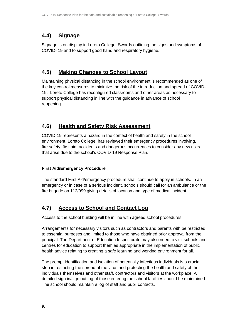# **4.4) Signage**

Signage is on display in Loreto College, Swords outlining the signs and symptoms of COVID- 19 and to support good hand and respiratory hygiene.

# **4.5) Making Changes to School Layout**

Maintaining physical distancing in the school environment is recommended as one of the key control measures to minimize the risk of the introduction and spread of COVID-19. Loreto College has reconfigured classrooms and other areas as necessary to support physical distancing in line with the guidance in advance of school reopening.

# **4.6) Health and Safety Risk Assessment**

COVID-19 represents a hazard in the context of health and safety in the school environment. Loreto College, has reviewed their emergency procedures involving, fire safety, first aid, accidents and dangerous occurrences to consider any new risks that arise due to the school's COVID-19 Response Plan.

## **First Aid/Emergency Procedure**

The standard First Aid/emergency procedure shall continue to apply in schools. In an emergency or in case of a serious incident, schools should call for an ambulance or the fire brigade on 112/999 giving details of location and type of medical incident.

# **4.7) Access to School and Contact Log**

Access to the school building will be in line with agreed school procedures.

Arrangements for necessary visitors such as contractors and parents with be restricted to essential purposes and limited to those who have obtained prior approval from the principal. The Department of Education Inspectorate may also need to visit schools and centres for education to support them as appropriate in the implementation of public health advice relating to creating a safe learning and working environment for all.

The prompt identification and isolation of potentially infectious individuals is a crucial step in restricting the spread of the virus and protecting the health and safety of the individuals themselves and other staff, contractors and visitors at the workplace. A detailed sign in/sign out log of those entering the school facilities should be maintained. The school should maintain a log of staff and pupil contacts.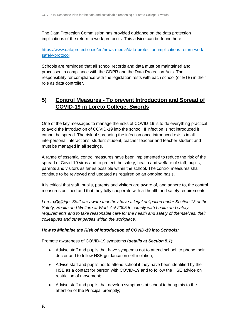The Data Protection Commission has provided guidance on the data protection implications of the return to work protocols. This advice can be found here:

[https://www.dataprotection.ie/en/news-media/data-protection-implications-return-work](https://www.dataprotection.ie/en/news-media/data-protection-implications-return-work-safely-protocol)[safely-protocol](https://www.dataprotection.ie/en/news-media/data-protection-implications-return-work-safely-protocol)

Schools are reminded that all school records and data must be maintained and processed in compliance with the GDPR and the Data Protection Acts. The responsibility for compliance with the legislation rests with each school (or ETB) in their role as data controller.

## **5) Control Measures - To prevent Introduction and Spread of COVID-19 in Loreto College, Swords**

One of the key messages to manage the risks of COVID-19 is to do everything practical to avoid the introduction of COVID-19 into the school. If infection is not introduced it cannot be spread. The risk of spreading the infection once introduced exists in all interpersonal interactions; student-student, teacher-teacher and teacher-student and must be managed in all settings.

A range of essential control measures have been implemented to reduce the risk of the spread of Covid-19 virus and to protect the safety, health and welfare of staff, pupils, parents and visitors as far as possible within the school. The control measures shall continue to be reviewed and updated as required on an ongoing basis.

It is critical that staff, pupils, parents and visitors are aware of, and adhere to, the control measures outlined and that they fully cooperate with all health and safety requirements.

*Loreto College, Staff are aware that they have a legal obligation under Section 13 of the Safety, Health and Welfare at Work Act 2005 to comply with health and safety requirements and to take reasonable care for the health and safety of themselves, their colleagues and other parties within the workplace.*

#### *How to Minimise the Risk of Introduction of COVID-19 into Schools:*

Promote awareness of COVID-19 symptoms (*details at Section 5.1*);

- Advise staff and pupils that have symptoms not to attend school, to phone their doctor and to follow HSE guidance on self-isolation;
- Advise staff and pupils not to attend school if they have been identified by the HSE as a contact for person with COVID-19 and to follow the HSE advice on restriction of movement;
- Advise staff and pupils that develop symptoms at school to bring this to the attention of the Principal promptly;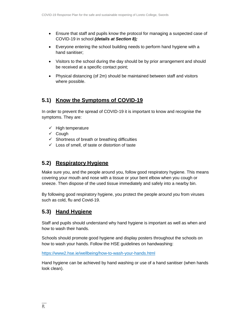- Ensure that staff and pupils know the protocol for managing a suspected case of COVID-19 in school *(details at Section 8);*
- Everyone entering the school building needs to perform hand hygiene with a hand sanitiser;
- Visitors to the school during the day should be by prior arrangement and should be received at a specific contact point;
- Physical distancing (of 2m) should be maintained between staff and visitors where possible.

# **5.1) Know the Symptoms of COVID-19**

In order to prevent the spread of COVID-19 it is important to know and recognise the symptoms. They are:

- $\checkmark$  High temperature
- $\checkmark$  Cough
- $\checkmark$  Shortness of breath or breathing difficulties
- $\checkmark$  Loss of smell, of taste or distortion of taste

## **5.2) Respiratory Hygiene**

Make sure you, and the people around you, follow good respiratory hygiene. This means covering your mouth and nose with a tissue or your bent elbow when you cough or sneeze. Then dispose of the used tissue immediately and safely into a nearby bin.

By following good respiratory hygiene, you protect the people around you from viruses such as cold, flu and Covid-19.

## **5.3) Hand Hygiene**

Staff and pupils should understand why hand hygiene is important as well as when and how to wash their hands.

Schools should promote good hygiene and display posters throughout the schools on how to wash your hands. Follow the HSE guidelines on handwashing:

<https://www2.hse.ie/wellbeing/how-to-wash-your-hands.html>

Hand hygiene can be achieved by hand washing or use of a hand sanitiser (when hands look clean).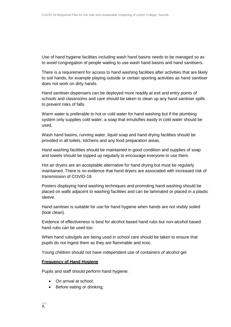Use of hand hygiene facilities including wash hand basins needs to be managed so as to avoid congregation of people waiting to use wash hand basins and hand sanitisers.

There is a requirement for access to hand washing facilities after activities that are likely to soil hands, for example playing outside or certain sporting activities as hand sanitiser does not work on dirty hands.

Hand sanitiser dispensers can be deployed more readily at exit and entry points of schools and classrooms and care should be taken to clean up any hand sanitiser spills to prevent risks of falls.

Warm water is preferable to hot or cold water for hand washing but if the plumbing system only supplies cold water, a soap that emulsifies easily in cold water should be used.

Wash hand basins, running water, liquid soap and hand drying facilities should be provided in all toilets, kitchens and any food preparation areas.

Hand washing facilities should be maintained in good condition and supplies of soap and towels should be topped up regularly to encourage everyone to use them.

Hot air dryers are an acceptable alternative for hand drying but must be regularly maintained. There is no evidence that hand dryers are associated with increased risk of transmission of COVID-19.

Posters displaying hand washing techniques and promoting hand washing should be placed on walls adjacent to washing facilities and can be laminated or placed in a plastic sleeve.

Hand sanitiser is suitable for use for hand hygiene when hands are not visibly soiled (look clean).

Evidence of effectiveness is best for alcohol based hand rubs but non-alcohol based hand rubs can be used too.

When hand rubs/gels are being used in school care should be taken to ensure that pupils do not ingest them as they are flammable and toxic.

Young children should not have independent use of containers of alcohol gel.

#### **Frequency of Hand Hygiene**

Pupils and staff should perform hand hygiene:

- On arrival at school:
- Before eating or drinking;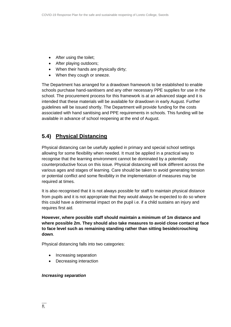- After using the toilet;
- After playing outdoors;
- When their hands are physically dirty;
- When they cough or sneeze.

The Department has arranged for a drawdown framework to be established to enable schools purchase hand-sanitisers and any other necessary PPE supplies for use in the school. The procurement process for this framework is at an advanced stage and it is intended that these materials will be available for drawdown in early August. Further guidelines will be issued shortly. The Department will provide funding for the costs associated with hand sanitising and PPE requirements in schools. This funding will be available in advance of school reopening at the end of August.

# **5.4) Physical Distancing**

Physical distancing can be usefully applied in primary and special school settings allowing for some flexibility when needed. It must be applied in a practical way to recognise that the learning environment cannot be dominated by a potentially counterproductive focus on this issue. Physical distancing will look different across the various ages and stages of learning. Care should be taken to avoid generating tension or potential conflict and some flexibility in the implementation of measures may be required at times.

It is also recognised that it is not always possible for staff to maintain physical distance from pupils and it is not appropriate that they would always be expected to do so where this could have a detrimental impact on the pupil i.e. if a child sustains an injury and requires first aid.

**However, where possible staff should maintain a minimum of 1m distance and where possible 2m. They should also take measures to avoid close contact at face to face level such as remaining standing rather than sitting beside/crouching down**.

Physical distancing falls into two categories:

- Increasing separation
- Decreasing interaction

## *Increasing separation*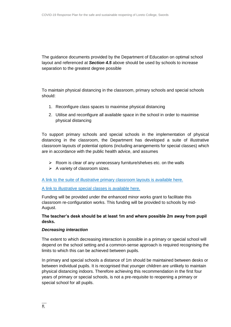The guidance documents provided by the Department of Education on optimal school layout and referenced at *Section 4.5* above should be used by schools to increase separation to the greatest degree possible

To maintain physical distancing in the classroom, primary schools and special schools should:

- 1. Reconfigure class spaces to maximise physical distancing
- 2. Utilise and reconfigure all available space in the school in order to maximise physical distancing

To support primary schools and special schools in the implementation of physical distancing in the classroom, the Department has developed a suite of illustrative classroom layouts of potential options (including arrangements for special classes) which are in accordance with the public health advice, and assumes

- $\triangleright$  Room is clear of any unnecessary furniture/shelves etc. on the walls
- $\triangleright$  A variety of classroom sizes.

[A link to the suite of illustrative primary classroom layouts is available here.](https://s3-eu-west-1.amazonaws.com/govieassets/82023/7612d390-4a73-4afb-ba06-5d1c41bd5a0a.pdf)

#### [A link to illustrative special classes is available here.](https://s3-eu-west-1.amazonaws.com/govieassets/81948/36874b14-f604-4966-b8c8-bc2954b73bbd.pdf)

Funding will be provided under the enhanced minor works grant to facilitate this classroom re-configuration works. This funding will be provided to schools by mid-August.

## **The teacher's desk should be at least 1m and where possible 2m away from pupil desks.**

#### *Decreasing interaction*

The extent to which decreasing interaction is possible in a primary or special school will depend on the school setting and a common-sense approach is required recognising the limits to which this can be achieved between pupils.

In primary and special schools a distance of 1m should be maintained between desks or between individual pupils. It is recognised that younger children are unlikely to maintain physical distancing indoors. Therefore achieving this recommendation in the first four years of primary or special schools, is not a pre-requisite to reopening a primary or special school for all pupils.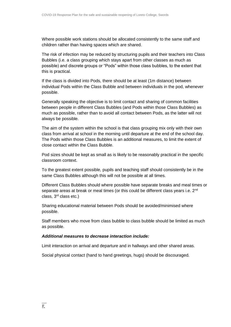Where possible work stations should be allocated consistently to the same staff and children rather than having spaces which are shared.

The risk of infection may be reduced by structuring pupils and their teachers into Class Bubbles (i.e. a class grouping which stays apart from other classes as much as possible) and discrete groups or "Pods" within those class bubbles, to the extent that this is practical.

If the class is divided into Pods, there should be at least (1m distance) between individual Pods within the Class Bubble and between individuals in the pod, whenever possible.

Generally speaking the objective is to limit contact and sharing of common facilities between people in different Class Bubbles (and Pods within those Class Bubbles) as much as possible, rather than to avoid all contact between Pods, as the latter will not always be possible.

The aim of the system within the school is that class grouping mix only with their own class from arrival at school in the morning until departure at the end of the school day. The Pods within those Class Bubbles is an additional measures, to limit the extent of close contact within the Class Bubble.

Pod sizes should be kept as small as is likely to be reasonably practical in the specific classroom context.

To the greatest extent possible, pupils and teaching staff should consistently be in the same Class Bubbles although this will not be possible at all times.

Different Class Bubbles should where possible have separate breaks and meal times or separate areas at break or meal times (or this could be different class years i.e. 2<sup>nd</sup> class, 3rd class etc.)

Sharing educational material between Pods should be avoided/minimised where possible.

Staff members who move from class bubble to class bubble should be limited as much as possible.

#### *Additional measures to decrease interaction include:*

Limit interaction on arrival and departure and in hallways and other shared areas.

Social physical contact (hand to hand greetings, hugs) should be discouraged.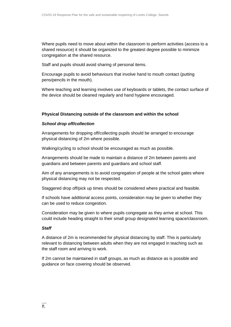Where pupils need to move about within the classroom to perform activities (access to a shared resource) it should be organized to the greatest degree possible to minimize congregation at the shared resource.

Staff and pupils should avoid sharing of personal items.

Encourage pupils to avoid behaviours that involve hand to mouth contact (putting pens/pencils in the mouth).

Where teaching and learning involves use of keyboards or tablets, the contact surface of the device should be cleaned regularly and hand hygiene encouraged.

## **Physical Distancing outside of the classroom and within the school**

## *School drop off/collection*

Arrangements for dropping off/collecting pupils should be arranged to encourage physical distancing of 2m where possible.

Walking/cycling to school should be encouraged as much as possible.

Arrangements should be made to maintain a distance of 2m between parents and guardians and between parents and guardians and school staff.

Aim of any arrangements is to avoid congregation of people at the school gates where physical distancing may not be respected.

Staggered drop off/pick up times should be considered where practical and feasible.

If schools have additional access points, consideration may be given to whether they can be used to reduce congestion.

Consideration may be given to where pupils congregate as they arrive at school. This could include heading straight to their small group designated learning space/classroom.

## *Staff*

A distance of 2m is recommended for physical distancing by staff. This is particularly relevant to distancing between adults when they are not engaged in teaching such as the staff room and arriving to work.

If 2m cannot be maintained in staff groups, as much as distance as is possible and guidance on face covering should be observed.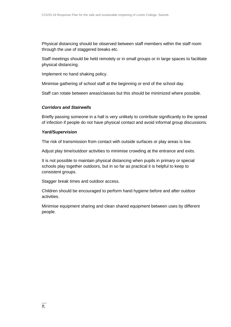Physical distancing should be observed between staff members within the staff room through the use of staggered breaks etc.

Staff meetings should be held remotely or in small groups or in large spaces to facilitate physical distancing.

Implement no hand shaking policy.

Minimise gathering of school staff at the beginning or end of the school day.

Staff can rotate between areas/classes but this should be minimized where possible.

## *Corridors and Stairwells*

Briefly passing someone in a hall is very unlikely to contribute significantly to the spread of infection if people do not have physical contact and avoid informal group discussions.

## *Yard/Supervision*

The risk of transmission from contact with outside surfaces or play areas is low.

Adjust play time/outdoor activities to minimise crowding at the entrance and exits.

It is not possible to maintain physical distancing when pupils in primary or special schools play together outdoors, but in so far as practical it is helpful to keep to consistent groups.

Stagger break times and outdoor access.

Children should be encouraged to perform hand hygiene before and after outdoor activities.

Minimise equipment sharing and clean shared equipment between uses by different people.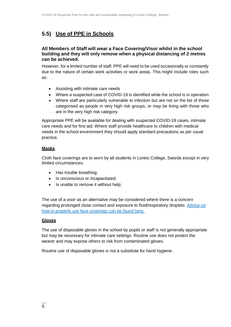# **5.5) Use of PPE in Schools**

## **All Members of Staff will wear a Face Covering/Visor whilst in the school building and they will only remove when a physical distancing of 2 metres can be achieved.**

However, for a limited number of staff, PPE will need to be used occasionally or constantly due to the nature of certain work activities or work areas. This might include roles such as:

- Assisting with intimate care needs
- Where a suspected case of COVID-19 is identified while the school is in operation
- Where staff are particularly vulnerable to infection but are not on the list of those categorised as people in very high risk groups, or may be living with those who are in the very high risk category.

Appropriate PPE will be available for dealing with suspected COVID-19 cases, intimate care needs and for first aid. Where staff provide healthcare to children with medical needs in the school environment they should apply standard precautions as per usual practice.

## **Masks**

Cloth face coverings are to worn by all students in Loreto College, Swords except in very limited circumstances:

- Has trouble breathing;
- Is unconscious or incapacitated;
- Is unable to remove it without help;

The use of a visor as an alternative may be considered where there is a concern regarding prolonged close contact and exposure to fluid/respiratory droplets. Advice on how to properly use face coverings can be found here.

#### **Gloves**

The use of disposable gloves in the school by pupils or staff is not generally appropriate but may be necessary for intimate care settings. Routine use does not protect the wearer and may expose others to risk from contaminated gloves.

Routine use of disposable gloves is not a substitute for hand hygiene.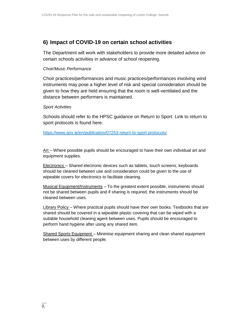## **6) Impact of COVID-19 on certain school activities**

The Department will work with stakeholders to provide more detailed advice on certain schools activities in advance of school reopening.

## *Choir/Music Performance*

Choir practices/performances and music practices/performances involving wind instruments may pose a higher level of risk and special consideration should be given to how they are held ensuring that the room is well-ventilated and the distance between performers is maintained.

#### *Sport Activities*

Schools should refer to the HPSC guidance on Return to Sport. Link to return to sport protocols is found here.

<https://www.gov.ie/en/publication/07253-return-to-sport-protocols/>

Art – Where possible pupils should be encouraged to have their own individual art and equipment supplies.

Electronics – Shared electronic devices such as tablets, touch screens, keyboards should be cleaned between use and consideration could be given to the use of wipeable covers for electronics to facilitate cleaning.

Musical Equipment/Instruments – To the greatest extent possible, instruments should not be shared between pupils and if sharing is required, the instruments should be cleaned between uses.

Library Policy – Where practical pupils should have their own books. Textbooks that are shared should be covered in a wipeable plastic covering that can be wiped with a suitable household cleaning agent between uses. Pupils should be encouraged to perform hand hygiene after using any shared item.

Shared Sports Equipment – Minimise equipment sharing and clean shared equipment between uses by different people.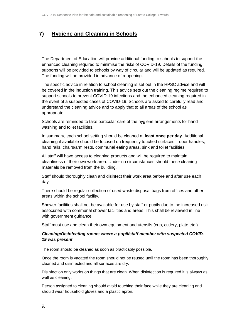# **7) Hygiene and Cleaning in Schools**

The Department of Education will provide additional funding to schools to support the enhanced cleaning required to minimise the risks of COVID-19. Details of the funding supports will be provided to schools by way of circular and will be updated as required. The funding will be provided in advance of reopening.

The specific advice in relation to school cleaning is set out in the HPSC advice and will be covered in the induction training. This advice sets out the cleaning regime required to support schools to prevent COVID-19 infections and the enhanced cleaning required in the event of a suspected cases of COVID-19. Schools are asked to carefully read and understand the cleaning advice and to apply that to all areas of the school as appropriate.

Schools are reminded to take particular care of the hygiene arrangements for hand washing and toilet facilities.

In summary, each school setting should be cleaned at **least once per day**. Additional cleaning if available should be focused on frequently touched surfaces – door handles, hand rails, chairs/arm rests, communal eating areas, sink and toilet facilities.

All staff will have access to cleaning products and will be required to maintain cleanliness of their own work area. Under no circumstances should these cleaning materials be removed from the building.

Staff should thoroughly clean and disinfect their work area before and after use each day.

There should be regular collection of used waste disposal bags from offices and other areas within the school facility**.**

Shower facilities shall not be available for use by staff or pupils due to the increased risk associated with communal shower facilities and areas. This shall be reviewed in line with government guidance.

Staff must use and clean their own equipment and utensils (cup, cutlery, plate etc.)

## *Cleaning/Disinfecting rooms where a pupil/staff member with suspected COVID-19 was present*

The room should be cleaned as soon as practicably possible.

Once the room is vacated the room should not be reused until the room has been thoroughly cleaned and disinfected and all surfaces are dry.

Disinfection only works on things that are clean. When disinfection is required it is always as well as cleaning.

Person assigned to cleaning should avoid touching their face while they are cleaning and should wear household gloves and a plastic apron.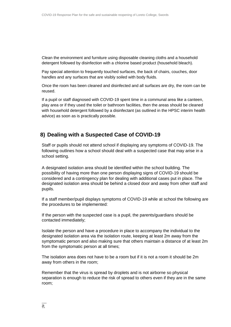Clean the environment and furniture using disposable cleaning cloths and a household detergent followed by disinfection with a chlorine based product (household bleach).

Pay special attention to frequently touched surfaces, the back of chairs, couches, door handles and any surfaces that are visibly soiled with body fluids.

Once the room has been cleaned and disinfected and all surfaces are dry, the room can be reused.

If a pupil or staff diagnosed with COVID-19 spent time in a communal area like a canteen, play area or if they used the toilet or bathroom facilities, then the areas should be cleaned with household detergent followed by a disinfectant (as outlined in the HPSC interim health advice) as soon as is practically possible.

## **8) Dealing with a Suspected Case of COVID-19**

Staff or pupils should not attend school if displaying any symptoms of COVID-19. The following outlines how a school should deal with a suspected case that may arise in a school setting.

A designated isolation area should be identified within the school building. The possibility of having more than one person displaying signs of COVID-19 should be considered and a contingency plan for dealing with additional cases put in place. The designated isolation area should be behind a closed door and away from other staff and pupils.

If a staff member/pupil displays symptoms of COVID-19 while at school the following are the procedures to be implemented:

If the person with the suspected case is a pupil, the parents/guardians should be contacted immediately;

Isolate the person and have a procedure in place to accompany the individual to the designated isolation area via the isolation route, keeping at least 2m away from the symptomatic person and also making sure that others maintain a distance of at least 2m from the symptomatic person at all times;

The isolation area does not have to be a room but if it is not a room it should be 2m away from others in the room;

Remember that the virus is spread by droplets and is not airborne so physical separation is enough to reduce the risk of spread to others even if they are in the same room;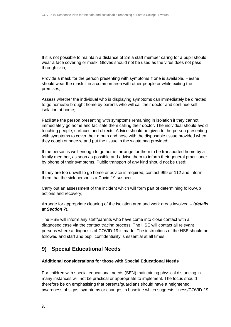If it is not possible to maintain a distance of 2m a staff member caring for a pupil should wear a face covering or mask. Gloves should not be used as the virus does not pass through skin;

Provide a mask for the person presenting with symptoms if one is available. He/she should wear the mask if in a common area with other people or while exiting the premises;

Assess whether the individual who is displaying symptoms can immediately be directed to go home/be brought home by parents who will call their doctor and continue selfisolation at home;

Facilitate the person presenting with symptoms remaining in isolation if they cannot immediately go home and facilitate them calling their doctor. The individual should avoid touching people, surfaces and objects. Advice should be given to the person presenting with symptoms to cover their mouth and nose with the disposable tissue provided when they cough or sneeze and put the tissue in the waste bag provided;

If the person is well enough to go home, arrange for them to be transported home by a family member, as soon as possible and advise them to inform their general practitioner by phone of their symptoms. Public transport of any kind should not be used;

If they are too unwell to go home or advice is required, contact 999 or 112 and inform them that the sick person is a Covid-19 suspect;

Carry out an assessment of the incident which will form part of determining follow-up actions and recovery;

Arrange for appropriate cleaning of the isolation area and work areas involved – (*details at Section 7*).

The HSE will inform any staff/parents who have come into close contact with a diagnosed case via the contact tracing process. The HSE will contact all relevant persons where a diagnosis of COVID-19 is made. The instructions of the HSE should be followed and staff and pupil confidentiality is essential at all times.

# **9) Special Educational Needs**

#### **Additional considerations for those with Special Educational Needs**

For children with special educational needs (SEN) maintaining physical distancing in many instances will not be practical or appropriate to implement. The focus should therefore be on emphasising that parents/guardians should have a heightened awareness of signs, symptoms or changes in baseline which suggests illness/COVID-19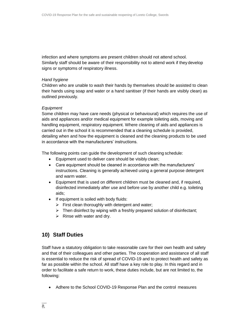infection and where symptoms are present children should not attend school. Similarly staff should be aware of their responsibility not to attend work if they develop signs or symptoms of respiratory illness.

#### *Hand hygiene*

Children who are unable to wash their hands by themselves should be assisted to clean their hands using soap and water or a hand sanitiser (if their hands are visibly clean) as outlined previously.

#### *Equipment*

Some children may have care needs (physical or behavioural) which requires the use of aids and appliances and/or medical equipment for example toileting aids, moving and handling equipment, respiratory equipment. Where cleaning of aids and appliances is carried out in the school it is recommended that a cleaning schedule is provided, detailing when and how the equipment is cleaned and the cleaning products to be used in accordance with the manufacturers' instructions.

The following points can guide the development of such cleaning schedule:

- Equipment used to deliver care should be visibly clean;
- Care equipment should be cleaned in accordance with the manufacturers' instructions. Cleaning is generally achieved using a general purpose detergent and warm water.
- Equipment that is used on different children must be cleaned and, if required, disinfected immediately after use and before use by another child e.g. toileting aids;
- If equipment is soiled with body fluids:
	- $\triangleright$  First clean thoroughly with detergent and water;
	- $\triangleright$  Then disinfect by wiping with a freshly prepared solution of disinfectant;
	- $\triangleright$  Rinse with water and dry.

# **10) Staff Duties**

Staff have a statutory obligation to take reasonable care for their own health and safety and that of their colleagues and other parties. The cooperation and assistance of all staff is essential to reduce the risk of spread of COVID-19 and to protect health and safety as far as possible within the school. All staff have a key role to play. In this regard and in order to facilitate a safe return to work, these duties include, but are not limited to, the following:

Adhere to the School COVID-19 Response Plan and the control measures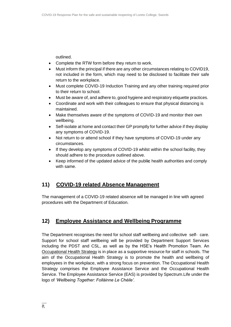outlined.

- Complete the RTW form before they return to work.
- Must inform the principal if there are any other circumstances relating to COVID19, not included in the form, which may need to be disclosed to facilitate their safe return to the workplace.
- Must complete COVID-19 Induction Training and any other training required prior to their return to school.
- Must be aware of, and adhere to, good hygiene and respiratory etiquette practices.
- Coordinate and work with their colleagues to ensure that physical distancing is maintained.
- Make themselves aware of the symptoms of COVID-19 and monitor their own wellbeing.
- Self-isolate at home and contact their GP promptly for further advice if they display any symptoms of COVID-19.
- Not return to or attend school if they have symptoms of COVID-19 under any circumstances.
- If they develop any symptoms of COVID-19 whilst within the school facility, they should adhere to the procedure outlined above.
- Keep informed of the updated advice of the publ**ic** health authorities and comply with same.

# **11) COVID-19 related Absence Management**

The management of a COVID-19 related absence will be managed in line with agreed procedures with the Department of Education.

# **12) Employee Assistance and Wellbeing Programme**

The Department recognises the need for school staff wellbeing and collective self- care. Support for school staff wellbeing will be provided by Department Support Services including the PDST and CSL, as well as by the HSE's Health Promotion Team. An [Occupational](https://www.education.ie/en/Education-Staff/Information/Occupational-Health-Strategy/) Health Strategy is in place as a supportive resource for staff in schools. The aim of the Occupational Health Strategy is to promote the health and wellbeing of employees in the workplace, with a strong focus on prevention. The Occupational Health Strategy comprises the Employee Assistance Service and the Occupational Health Service. The Employee Assistance Service (EAS) is provided by Spectrum.Life under the logo of *'Wellbeing Together: Folláinne Le Chéile'.*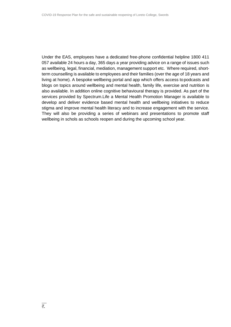Under the EAS, employees have a dedicated free-phone confidential helpline 1800 411 057 available 24 hours a day, 365 days a year providing advice on a range of issues such as wellbeing, legal, financial, mediation, management support etc. Where required, shortterm counselling is available to employees and their families (over the age of 18 years and living at home). A bespoke wellbeing portal and app which offers access topodcasts and blogs on topics around wellbeing and mental health, family life, exercise and nutrition is also available. In addition online cognitive behavioural therapy is provided. As part of the services provided by Spectrum.Life a Mental Health Promotion Manager is available to develop and deliver evidence based mental health and wellbeing initiatives to reduce stigma and improve mental health literacy and to increase engagement with the service. They will also be providing a series of webinars and presentations to promote staff wellbeing in schols as schools reopen and during the upcoming school year.